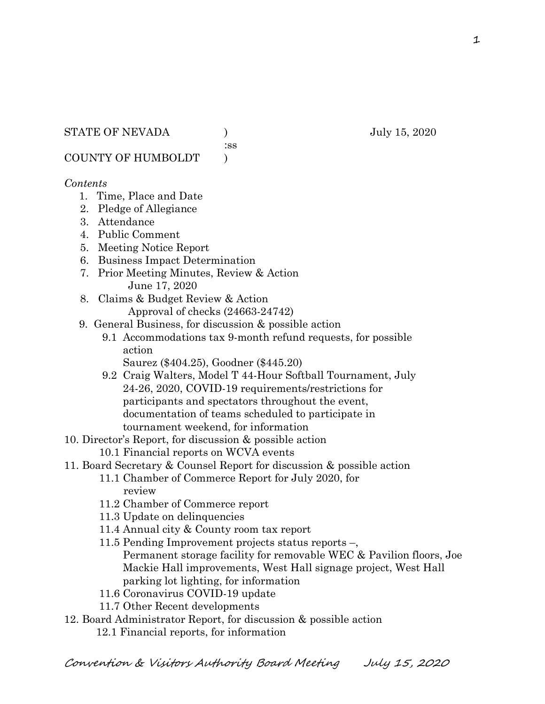:ss

COUNTY OF HUMBOLDT )

### *Contents*

- 1. Time, Place and Date
- 2. Pledge of Allegiance
- 3. Attendance
- 4. Public Comment
- 5. Meeting Notice Report
- 6. Business Impact Determination
- 7. Prior Meeting Minutes, Review & Action June 17, 2020
- 8. Claims & Budget Review & Action Approval of checks (24663-24742)
- 9. General Business, for discussion & possible action
	- 9.1 Accommodations tax 9-month refund requests, for possible action
		- Saurez (\$404.25), Goodner (\$445.20)
	- 9.2 Craig Walters, Model T 44-Hour Softball Tournament, July 24-26, 2020, COVID-19 requirements/restrictions for participants and spectators throughout the event, documentation of teams scheduled to participate in tournament weekend, for information
- 10. Director's Report, for discussion & possible action
	- 10.1 Financial reports on WCVA events
- 11. Board Secretary & Counsel Report for discussion & possible action
	- 11.1 Chamber of Commerce Report for July 2020, for review
		- 11.2 Chamber of Commerce report
		- 11.3 Update on delinquencies
		- 11.4 Annual city & County room tax report
		- 11.5 Pending Improvement projects status reports –, Permanent storage facility for removable WEC & Pavilion floors, Joe Mackie Hall improvements, West Hall signage project, West Hall parking lot lighting, for information
		- 11.6 Coronavirus COVID-19 update
		- 11.7 Other Recent developments
- 12. Board Administrator Report, for discussion & possible action
	- 12.1 Financial reports, for information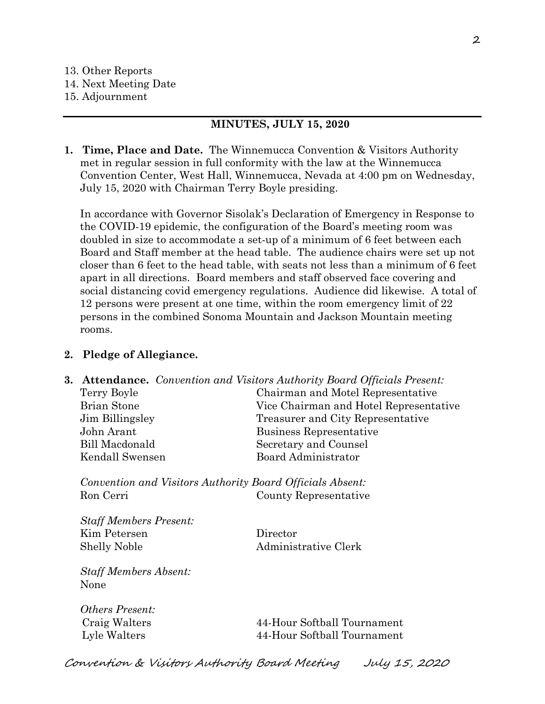#### **MINUTES, JULY 15, 2020**

**1. Time, Place and Date.** The Winnemucca Convention & Visitors Authority met in regular session in full conformity with the law at the Winnemucca Convention Center, West Hall, Winnemucca, Nevada at 4:00 pm on Wednesday, July 15, 2020 with Chairman Terry Boyle presiding.

In accordance with Governor Sisolak's Declaration of Emergency in Response to the COVID-19 epidemic, the configuration of the Board's meeting room was doubled in size to accommodate a set-up of a minimum of 6 feet between each Board and Staff member at the head table. The audience chairs were set up not closer than 6 feet to the head table, with seats not less than a minimum of 6 feet apart in all directions. Board members and staff observed face covering and social distancing covid emergency regulations. Audience did likewise. A total of 12 persons were present at one time, within the room emergency limit of 22 persons in the combined Sonoma Mountain and Jackson Mountain meeting rooms.

### **2. Pledge of Allegiance.**

**3. Attendance.** *Convention and Visitors Authority Board Officials Present:* Terry Boyle Chairman and Motel Representative Brian Stone Vice Chairman and Hotel Representative Jim Billingsley Treasurer and City Representative John Arant Business Representative Bill Macdonald Secretary and Counsel Kendall Swensen Board Administrator

*Convention and Visitors Authority Board Officials Absent:* Ron Cerri County Representative

*Staff Members Present:* Kim Petersen Director Shelly Noble Administrative Clerk

*Staff Members Absent:* None

*Others Present:*

 Craig Walters 44-Hour Softball Tournament Lyle Walters 44-Hour Softball Tournament

Convention & Visitors Authority Board Meeting July 15, 2020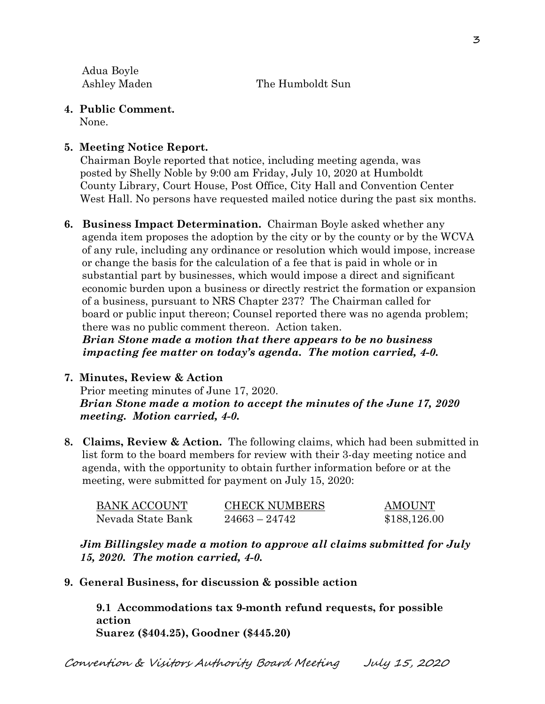Adua Boyle Ashley Maden The Humboldt Sun

**4. Public Comment.** 

None.

# **5. Meeting Notice Report.**

Chairman Boyle reported that notice, including meeting agenda, was posted by Shelly Noble by 9:00 am Friday, July 10, 2020 at Humboldt County Library, Court House, Post Office, City Hall and Convention Center West Hall. No persons have requested mailed notice during the past six months.

**6. Business Impact Determination.** Chairman Boyle asked whether any agenda item proposes the adoption by the city or by the county or by the WCVA of any rule, including any ordinance or resolution which would impose, increase or change the basis for the calculation of a fee that is paid in whole or in substantial part by businesses, which would impose a direct and significant economic burden upon a business or directly restrict the formation or expansion of a business, pursuant to NRS Chapter 237? The Chairman called for board or public input thereon; Counsel reported there was no agenda problem; there was no public comment thereon. Action taken.

 *Brian Stone made a motion that there appears to be no business impacting fee matter on today's agenda. The motion carried, 4-0.* 

- **7. Minutes, Review & Action**  Prior meeting minutes of June 17, 2020. *Brian Stone made a motion to accept the minutes of the June 17, 2020 meeting. Motion carried, 4-0.*
- **8. Claims, Review & Action.** The following claims, which had been submitted in list form to the board members for review with their 3-day meeting notice and agenda, with the opportunity to obtain further information before or at the meeting, were submitted for payment on July 15, 2020:

| BANK ACCOUNT      | <b>CHECK NUMBERS</b> | <b>AMOUNT</b> |
|-------------------|----------------------|---------------|
| Nevada State Bank | $24663 - 24742$      | \$188,126.00  |

*Jim Billingsley made a motion to approve all claims submitted for July 15, 2020. The motion carried, 4-0.* 

**9. General Business, for discussion & possible action**

**9.1 Accommodations tax 9-month refund requests, for possible action Suarez (\$404.25), Goodner (\$445.20)**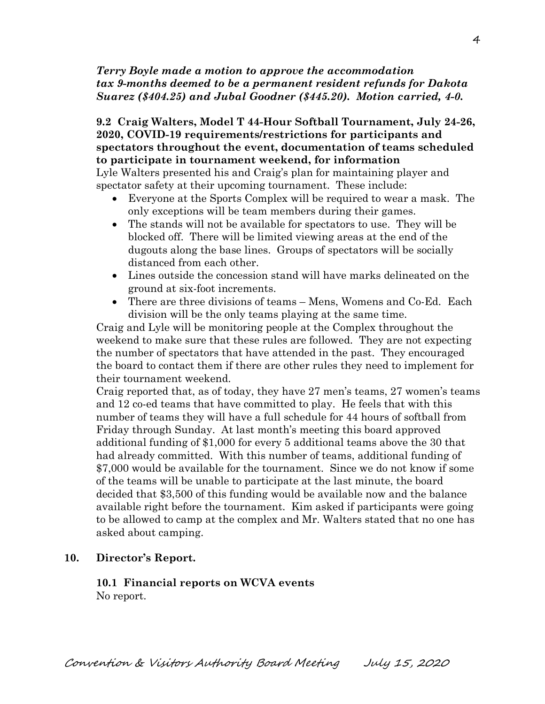## *Terry Boyle made a motion to approve the accommodation tax 9-months deemed to be a permanent resident refunds for Dakota Suarez (\$404.25) and Jubal Goodner (\$445.20). Motion carried, 4-0.*

# **9.2 Craig Walters, Model T 44-Hour Softball Tournament, July 24-26, 2020, COVID-19 requirements/restrictions for participants and spectators throughout the event, documentation of teams scheduled to participate in tournament weekend, for information**

Lyle Walters presented his and Craig's plan for maintaining player and spectator safety at their upcoming tournament. These include:

- Everyone at the Sports Complex will be required to wear a mask. The only exceptions will be team members during their games.
- The stands will not be available for spectators to use. They will be blocked off. There will be limited viewing areas at the end of the dugouts along the base lines. Groups of spectators will be socially distanced from each other.
- Lines outside the concession stand will have marks delineated on the ground at six-foot increments.
- There are three divisions of teams Mens, Womens and Co-Ed. Each division will be the only teams playing at the same time.

Craig and Lyle will be monitoring people at the Complex throughout the weekend to make sure that these rules are followed. They are not expecting the number of spectators that have attended in the past. They encouraged the board to contact them if there are other rules they need to implement for their tournament weekend.

Craig reported that, as of today, they have 27 men's teams, 27 women's teams and 12 co-ed teams that have committed to play. He feels that with this number of teams they will have a full schedule for 44 hours of softball from Friday through Sunday. At last month's meeting this board approved additional funding of \$1,000 for every 5 additional teams above the 30 that had already committed. With this number of teams, additional funding of \$7,000 would be available for the tournament. Since we do not know if some of the teams will be unable to participate at the last minute, the board decided that \$3,500 of this funding would be available now and the balance available right before the tournament. Kim asked if participants were going to be allowed to camp at the complex and Mr. Walters stated that no one has asked about camping.

## **10. Director's Report.**

## **10.1 Financial reports on WCVA events**  No report.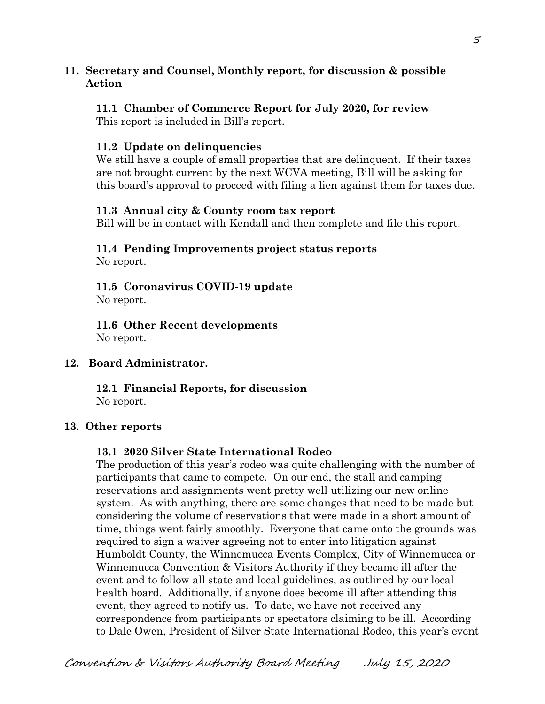### **11. Secretary and Counsel, Monthly report, for discussion & possible Action**

### **11.1 Chamber of Commerce Report for July 2020, for review**

This report is included in Bill's report.

### **11.2 Update on delinquencies**

We still have a couple of small properties that are delinquent. If their taxes are not brought current by the next WCVA meeting, Bill will be asking for this board's approval to proceed with filing a lien against them for taxes due.

### **11.3 Annual city & County room tax report**

Bill will be in contact with Kendall and then complete and file this report.

# **11.4 Pending Improvements project status reports**

No report.

**11.5 Coronavirus COVID-19 update** No report.

**11.6 Other Recent developments** No report.

### **12. Board Administrator.**

**12.1 Financial Reports, for discussion**  No report.

### **13. Other reports**

### **13.1 2020 Silver State International Rodeo**

The production of this year's rodeo was quite challenging with the number of participants that came to compete. On our end, the stall and camping reservations and assignments went pretty well utilizing our new online system. As with anything, there are some changes that need to be made but considering the volume of reservations that were made in a short amount of time, things went fairly smoothly. Everyone that came onto the grounds was required to sign a waiver agreeing not to enter into litigation against Humboldt County, the Winnemucca Events Complex, City of Winnemucca or Winnemucca Convention & Visitors Authority if they became ill after the event and to follow all state and local guidelines, as outlined by our local health board. Additionally, if anyone does become ill after attending this event, they agreed to notify us. To date, we have not received any correspondence from participants or spectators claiming to be ill. According to Dale Owen, President of Silver State International Rodeo, this year's event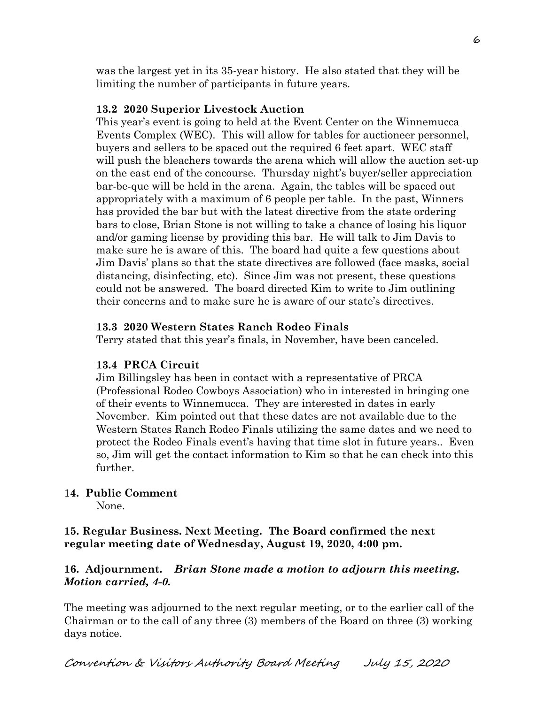was the largest yet in its 35-year history. He also stated that they will be limiting the number of participants in future years.

### **13.2 2020 Superior Livestock Auction**

This year's event is going to held at the Event Center on the Winnemucca Events Complex (WEC). This will allow for tables for auctioneer personnel, buyers and sellers to be spaced out the required 6 feet apart. WEC staff will push the bleachers towards the arena which will allow the auction set-up on the east end of the concourse. Thursday night's buyer/seller appreciation bar-be-que will be held in the arena. Again, the tables will be spaced out appropriately with a maximum of 6 people per table. In the past, Winners has provided the bar but with the latest directive from the state ordering bars to close, Brian Stone is not willing to take a chance of losing his liquor and/or gaming license by providing this bar. He will talk to Jim Davis to make sure he is aware of this. The board had quite a few questions about Jim Davis' plans so that the state directives are followed (face masks, social distancing, disinfecting, etc). Since Jim was not present, these questions could not be answered. The board directed Kim to write to Jim outlining their concerns and to make sure he is aware of our state's directives.

### **13.3 2020 Western States Ranch Rodeo Finals**

Terry stated that this year's finals, in November, have been canceled.

### **13.4 PRCA Circuit**

Jim Billingsley has been in contact with a representative of PRCA (Professional Rodeo Cowboys Association) who in interested in bringing one of their events to Winnemucca. They are interested in dates in early November. Kim pointed out that these dates are not available due to the Western States Ranch Rodeo Finals utilizing the same dates and we need to protect the Rodeo Finals event's having that time slot in future years.. Even so, Jim will get the contact information to Kim so that he can check into this further.

### 1**4. Public Comment**

None.

### **15. Regular Business. Next Meeting. The Board confirmed the next regular meeting date of Wednesday, August 19, 2020, 4:00 pm.**

### **16. Adjournment.** *Brian Stone made a motion to adjourn this meeting. Motion carried, 4-0.*

The meeting was adjourned to the next regular meeting, or to the earlier call of the Chairman or to the call of any three (3) members of the Board on three (3) working days notice.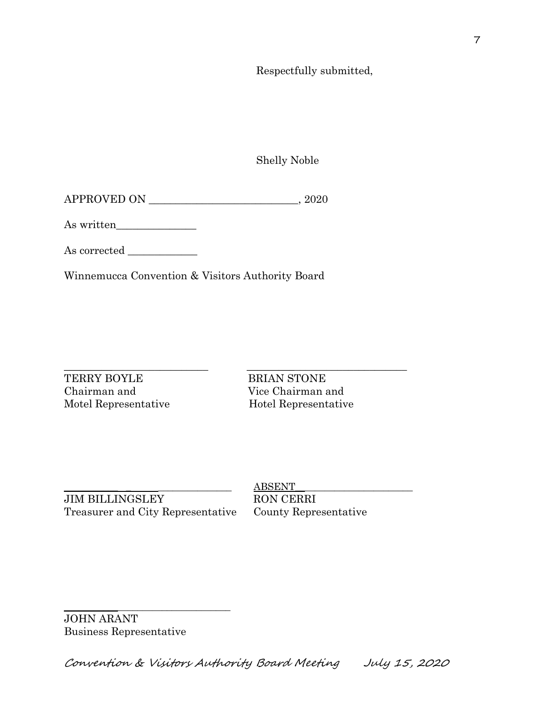Respectfully submitted,

Shelly Noble

| APPROVED ON | 2020 |
|-------------|------|
|             |      |

As written\_\_\_\_\_\_\_\_\_\_\_\_\_\_\_

As corrected \_\_\_\_\_\_\_\_\_\_\_\_\_

Winnemucca Convention & Visitors Authority Board

TERRY BOYLE BRIAN STONE Chairman and Vice Chairman and Motel Representative Hotel Representative

\_\_\_\_\_\_\_\_\_\_\_\_\_\_\_\_\_\_\_\_\_\_\_\_\_\_\_ \_\_\_\_\_\_\_\_\_\_\_\_\_\_\_\_\_\_\_\_\_\_\_\_\_\_\_\_\_\_

JIM BILLINGSLEY RON CERRI Treasurer and City Representative County Representative

\_\_\_\_\_\_\_\_\_\_\_\_\_\_\_\_\_\_\_\_\_\_\_\_\_\_\_\_\_\_\_\_\_\_

\_\_\_\_\_\_\_\_\_\_\_ \_ \_\_\_\_\_\_\_\_\_\_\_\_\_\_\_ ABSENT\_\_\_\_\_\_\_\_\_\_\_\_\_\_\_\_\_\_\_\_\_\_\_\_

JOHN ARANT Business Representative